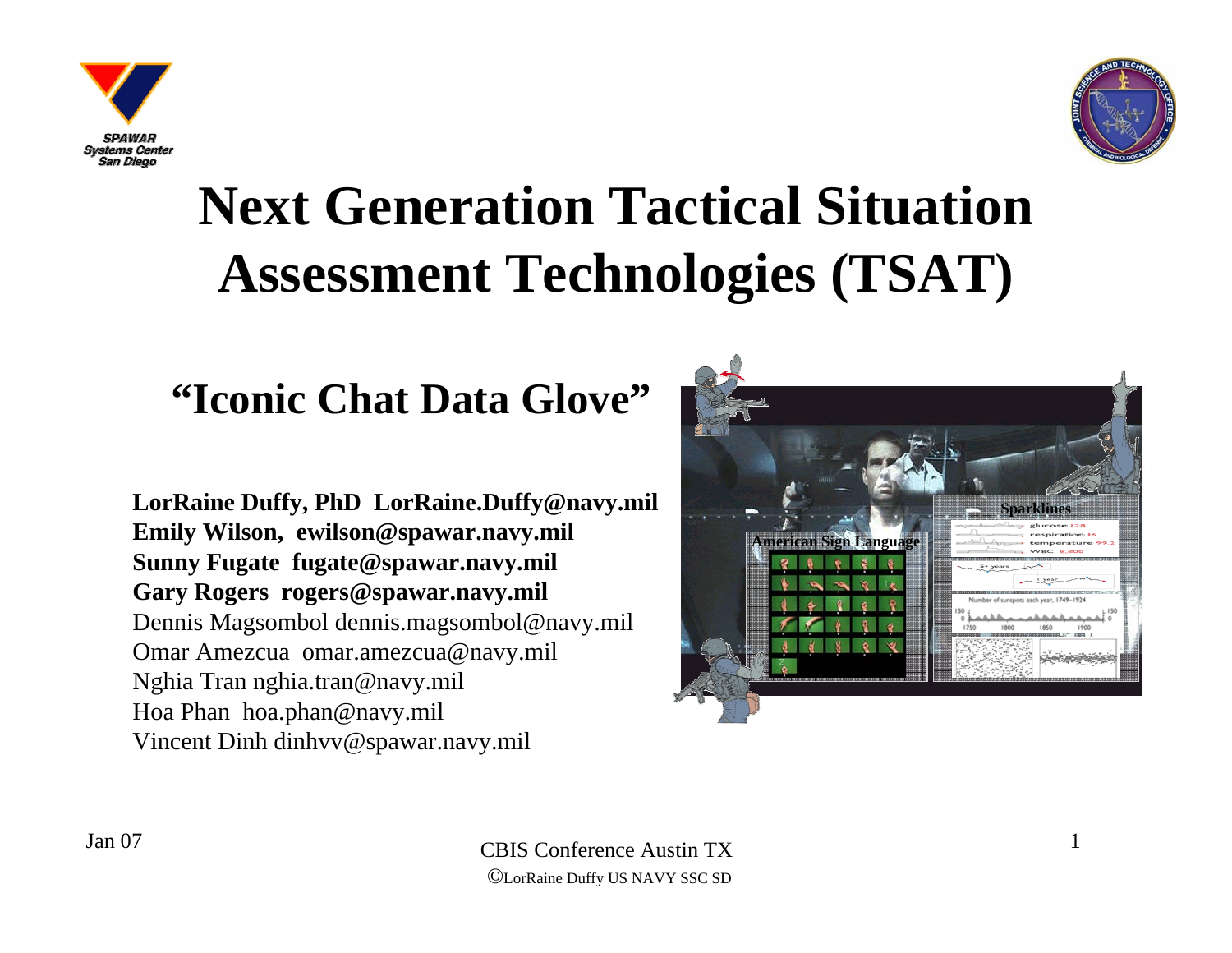



### **Next Generation Tactical Situation Assessment Technologies (TSAT)**

### **"Iconic Chat Data Glove"**

**LorRaine Duffy, PhD LorRaine.Duffy@navy.mil Emily Wilson, ewilson@spawar.navy.mil Sunny Fugate fugate@spawar.navy.mil Gary Rogers rogers@spawar.navy.mil** Dennis Magsombol dennis.magsombol@navy.mil Omar Amezcua omar.amezcua@navy.mil Nghia Tran nghia.tran@navy.mil Hoa Phan hoa.phan@navy.mil Vincent Dinh dinhvv@spawar.navy.mil

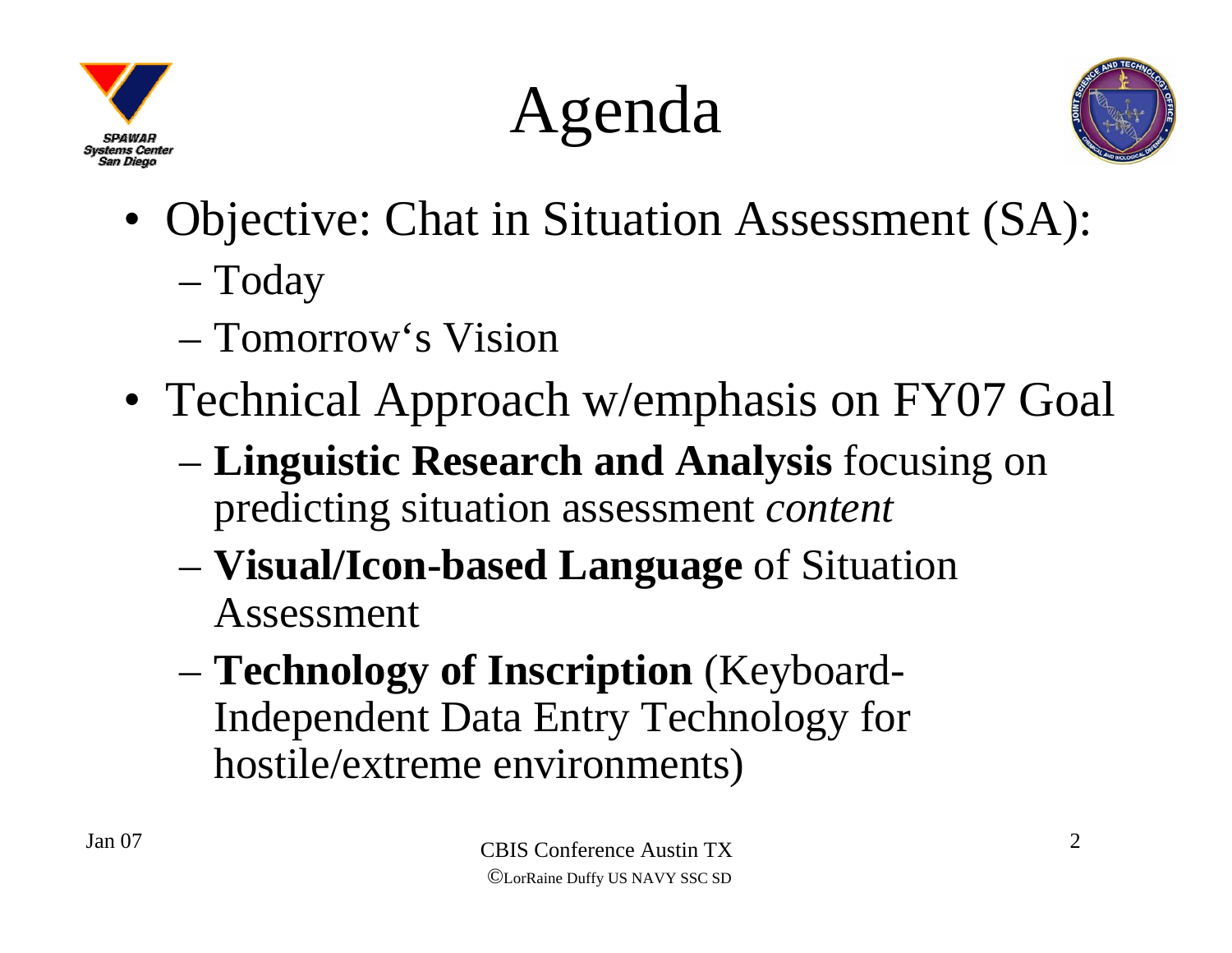

Agenda



- Objective: Chat in Situation Assessment (SA): Today
	- Tomorrow's Vision
- Technical Approach w/emphasis on FY07 Goal
	- **Linguistic Research and Analysis** focusing on predicting situation assessment *content*
	- **Visual/Icon-based Language** of Situation Assessment
	- **Technology of Inscription** (Keyboard-Independent Data Entry Technology for hostile/extreme environments)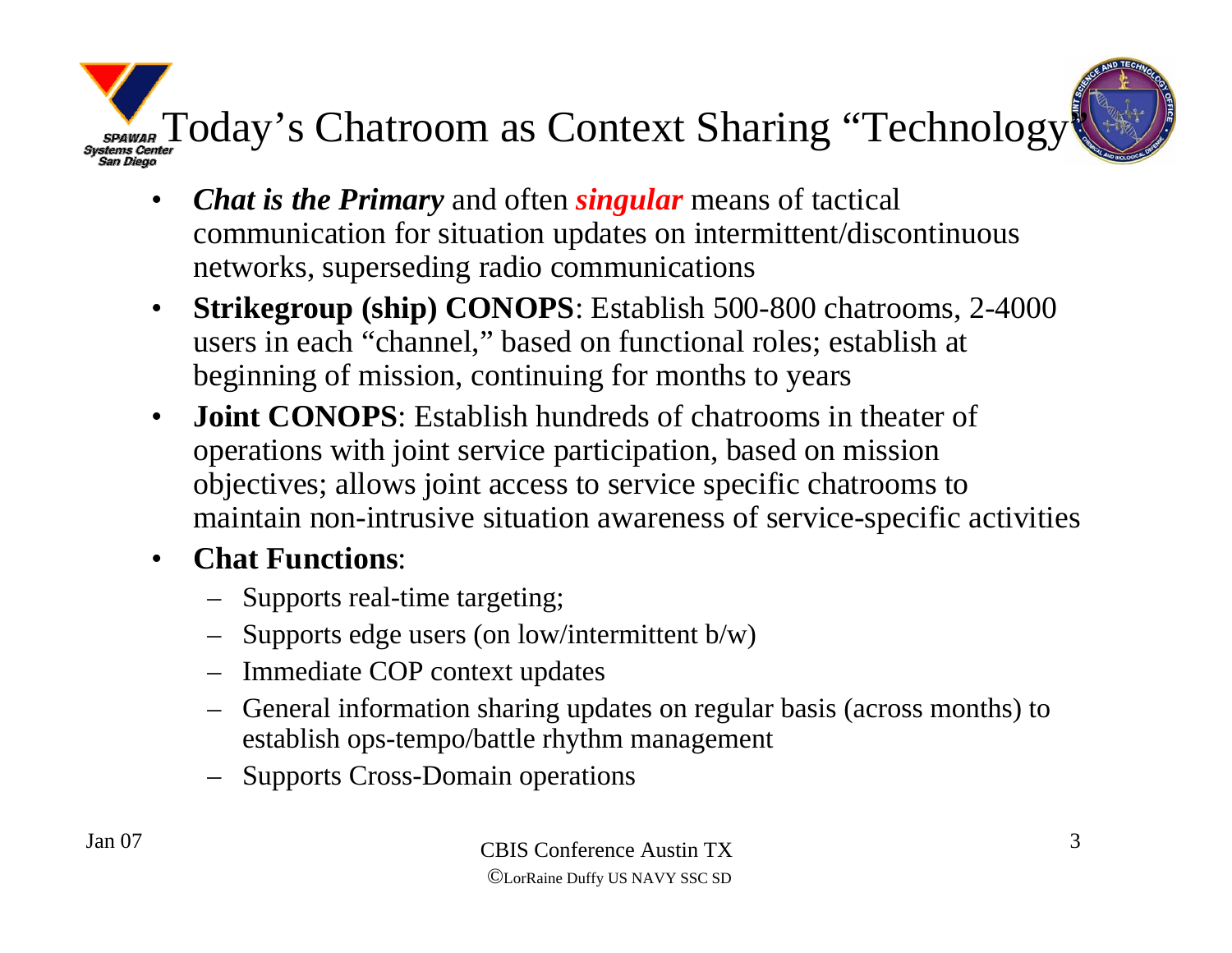

- $\bullet$  *Chat is the Primary* and often *singular* means of tactical communication for situation updates on intermittent/discontinuous networks, superseding radio communications
- $\bullet$  **Strikegroup (ship) CONOPS**: Establish 500-800 chatrooms, 2-4000 users in each "channel," based on functional roles; establish at beginning of mission, continuing for months to years
- $\bullet$ **Joint CONOPS**: Establish hundreds of chatrooms in theater of operations with joint service participation, based on mission objectives; allows joint access to service specific chatrooms to maintain non-intrusive situation awareness of service-specific activities
- $\bullet$  **Chat Functions**:
	- Supports real-time targeting;
	- Supports edge users (on low/intermittent b/w)
	- Immediate COP context updates
	- General information sharing updates on regular basis (across months) to establish ops-tempo/battle rhythm management
	- Supports Cross-Domain operations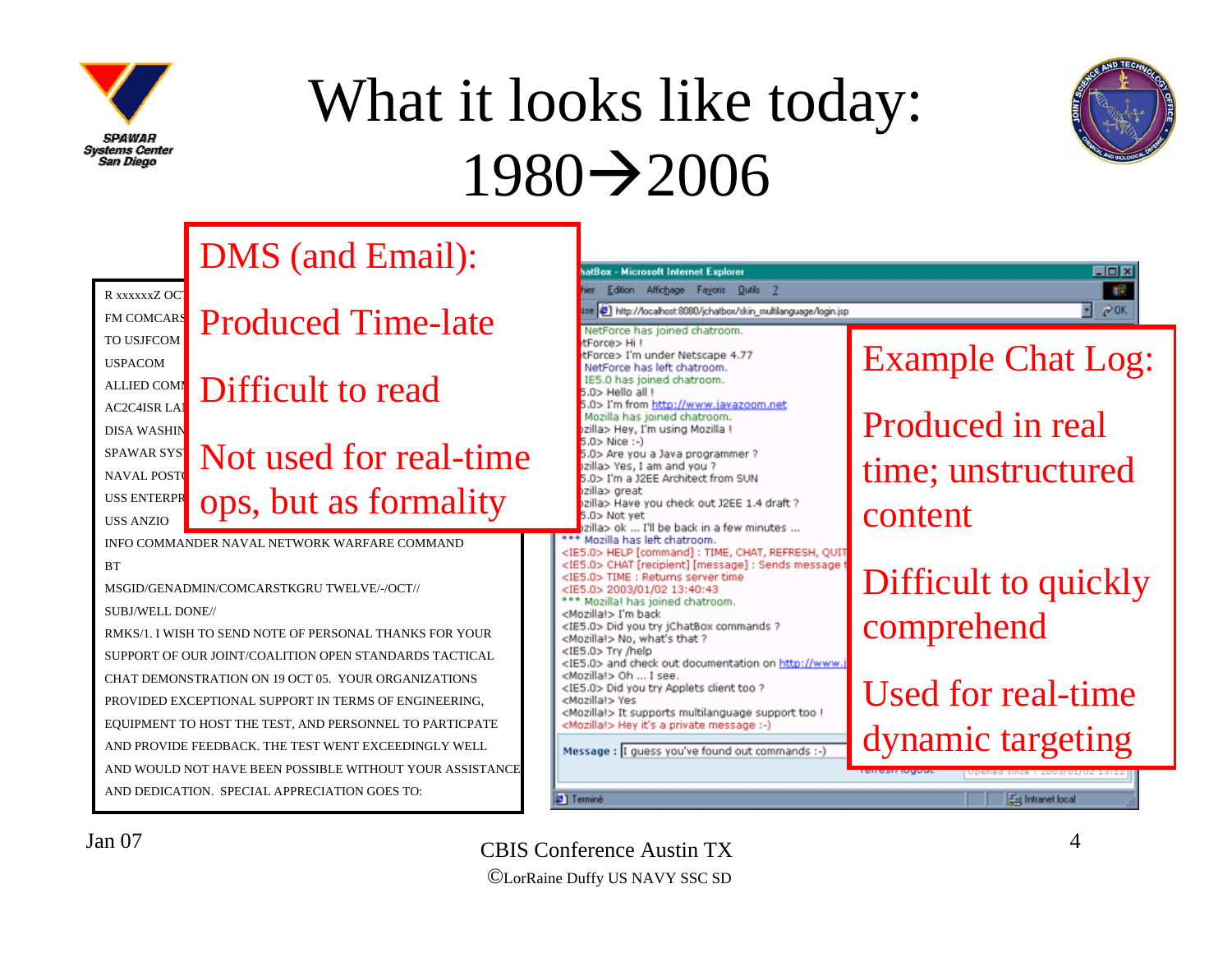

### What it looks like today:  $1980 \rightarrow 2006$



DMS (and Email): atBox - Microsoft Internet Explorer **LDX** Edition Affichage Fayoris Outils 2 **AR** R xxxxxxZ OC ₹  $60K$ http://localhost.8080/ichatbox/skin\_multlanguage/login.jsp **FM COMCARS** Produced Time-late NetForce has joined chatroom. TO USJFCOMtForce> Hi ! Example Chat Log: tForce> I'm under Netscape 4.77 USPACOMNetForce has left chatroom. IE5.0 has joined chatroom. ALLIED COMM Difficult to read  $5.0$ > Hello all I 5.0> I'm from http://www.javazoom.net  $AC2C4ISR$  LAN Mozilla has joined chatroom. Produced in real szilla> Hev. I'm using Mozilla ! DISA WASHIN 5.0> Nice :-) SPAWAR SYS<sup>T</sup> Not used for real-time 5.0> Are you a Java programmer ? szilla> Yes, I am and you ? time; unstructured NAVAL POSTG 5.0> I'm a J2EE Architect from SUN zilla> great ops, but as formality USS ENTERPR szilla> Have you check out J2EE 1.4 draft ? content5.0> Not yet USS ANZIO)zilla> ok ... I'll be back in a few minutes ... \*\* Mozilla has left chatroom. INFO COMMANDER NAVAL NETWORK WARFARE COMMAND<IE5.0> HELP [command] : TIME, CHAT, REFRESH, QUIT **BT** <IE5.0> CHAT [recipient] [message] : Sends message Difficult to quickly <IE5.0> TIME : Returns server time MSGID/GENADMIN/COMCARSTKGRU TWELVE/-/OCT//<IE5.0> 2003/01/02 13:40:43 \*\*\* Mozilla! has joined chatroom. SUBJ/WELL DONE//<Mozilla!> I'm back comprehend <IE5.0> Did you try jChatBox commands ? RMKS/1. I WISH TO SEND NOTE OF PERSONAL THANKS FOR YOUR <Mozilla!> No, what's that ? <IE5.0> Try /help SUPPORT OF OUR JOINT/COALITION OPEN STANDARDS TACTICAL <IE5.0> and check out documentation on http://www. <Mozillal> Oh ... I see. CHAT DEMONSTRATION ON 19 OCT 05. YOUR ORGANIZATIONS <IE5.0> Did you try Applets client too ? Used for real-time <Mozilla!> Yes PROVIDED EXCEPTIONAL SUPPORT IN TERMS OF ENGINEERING, <Mozilla!> It supports multilanguage support too ! EQUIPMENT TO HOST THE TEST, AND PERSONNEL TO PARTICPATE <Mozillal> Hey it's a private message :-) dynamic targetingAND PROVIDE FEEDBACK. THE TEST WENT EXCEEDINGLY WELL Message: I guess you've found out commands :-) AND WOULD NOT HAVE BEEN POSSIBLE WITHOUT YOUR ASSISTANCEAND DEDICATION. SPECIAL APPRECIATION GOES TO:21 Terminé **Zal Intranet local**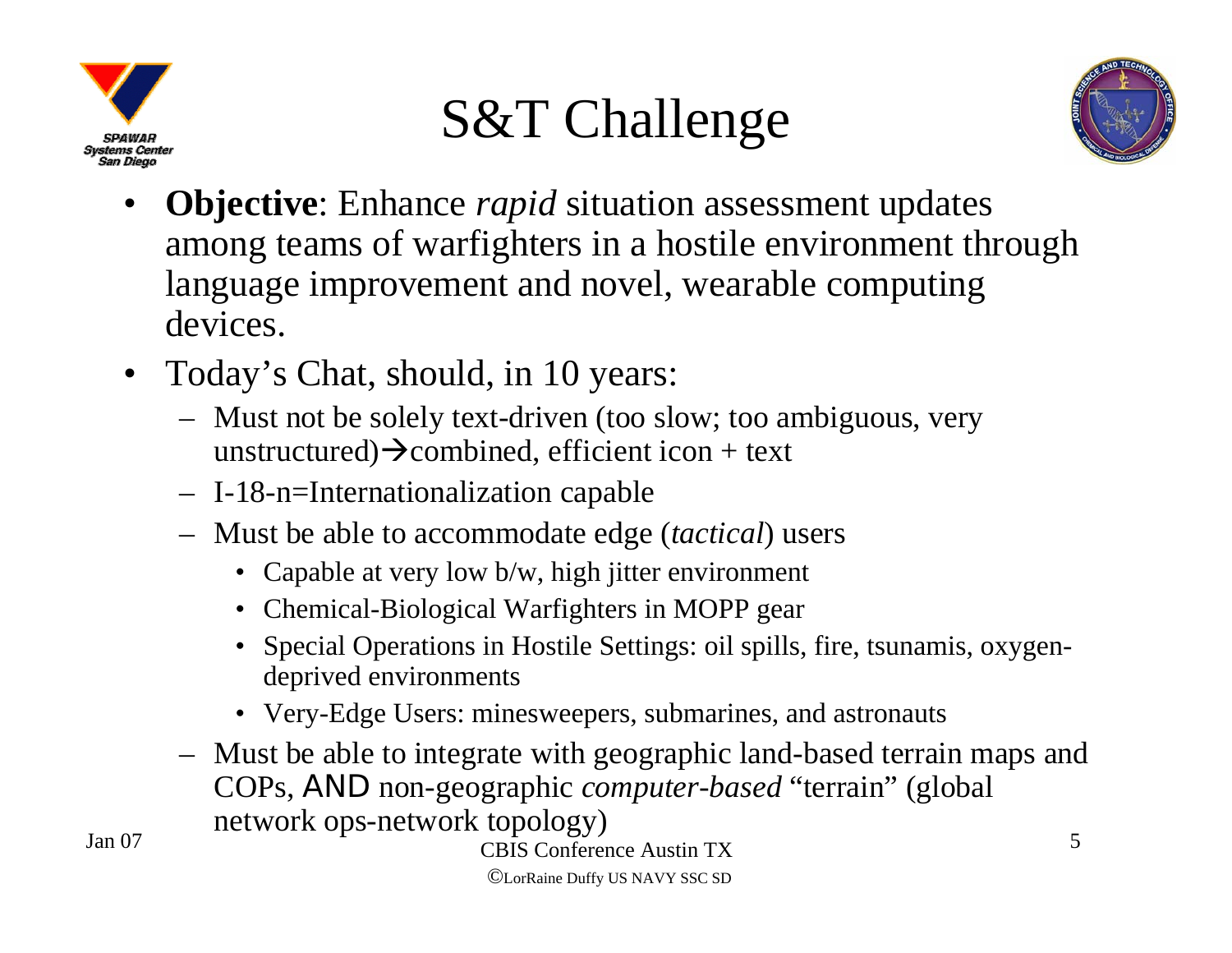

### S&T Challenge



- • **Objective**: Enhance *rapid* situation assessment updates among teams of warfighters in a hostile environment through language improvement and novel, wearable computing devices.
- Today's Chat, should, in 10 years:
	- Must not be solely text-driven (too slow; too ambiguous, very unstructured) $\rightarrow$ combined, efficient icon + text
	- I-18-n=Internationalization capable
	- Must be able to accommodate edge (*tactical*) users
		- Capable at very low b/w, high jitter environment
		- Chemical-Biological Warfighters in MOPP gear
		- Special Operations in Hostile Settings: oil spills, fire, tsunamis, oxygendeprived environments
		- Very-Edge Users: minesweepers, submarines, and astronauts
	- Must be able to integrate with geographic land-based terrain maps and COPs, *AND* non-geographic *computer-based* "terrain" (global network ops-network topology)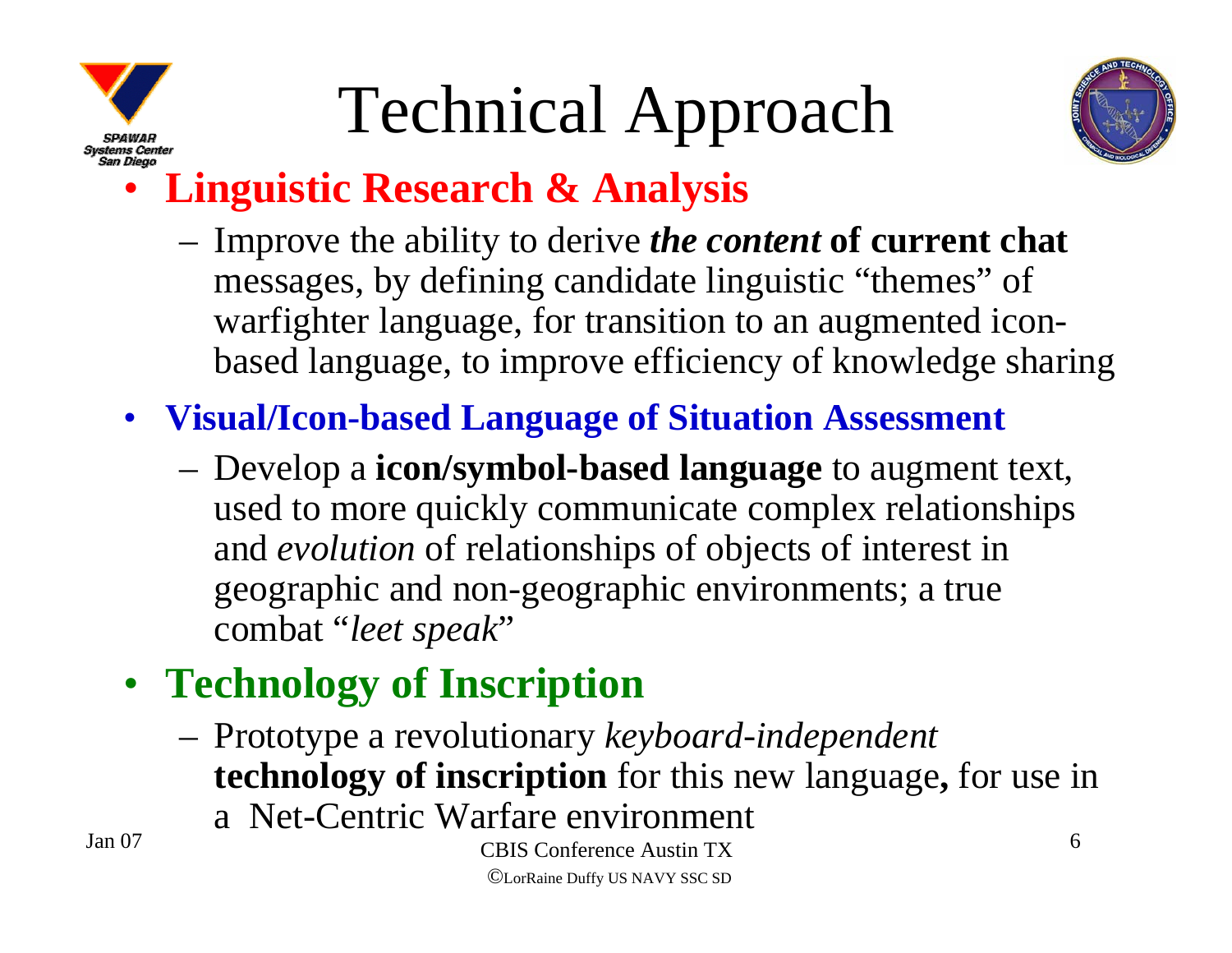

## Technical Approach



#### •**Linguistic Research & Analysis**

- Improve the ability to derive *the content* **of current chat** messages, by defining candidate linguistic "themes" of warfighter language, for transition to an augmented iconbased language, to improve efficiency of knowledge sharing
- **Visual/Icon-based Language of Situation Assessment**
	- Develop a **icon/symbol-based language** to augment text, used to more quickly communicate complex relationships and *evolution* of relationships of objects of interest in geographic and non-geographic environments; a true combat "*leet speak*"
- **Technology of Inscription**
	- Prototype a revolutionary *keyboard-independent* **technology of inscription** for this new language**,** for use in a Net-Centric Warfare environment

Jan 07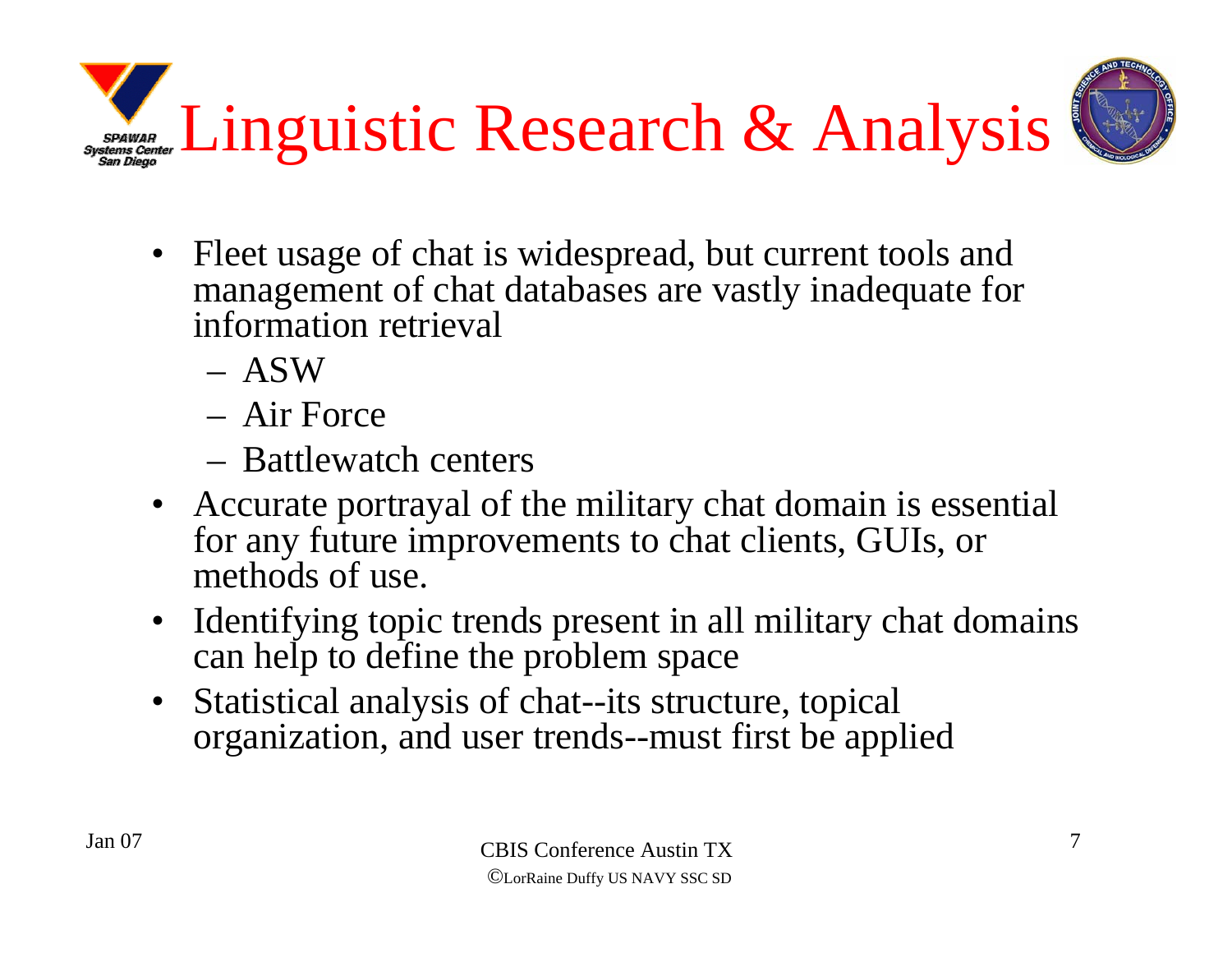SPAWAR Linguistic Research & Analysis



- Fleet usage of chat is widespread, but current tools and management of chat databases are vastly inadequate for information retrieval
	- ASW
	- Air Force
	- Battlewatch centers
- Accurate portrayal of the military chat domain is essential for any future improvements to chat clients, GUIs, or methods of use.
- Identifying topic trends present in all military chat domains can help to define the problem space
- $\bullet$  Statistical analysis of chat--its structure, topical organization, and user trends--must first be applied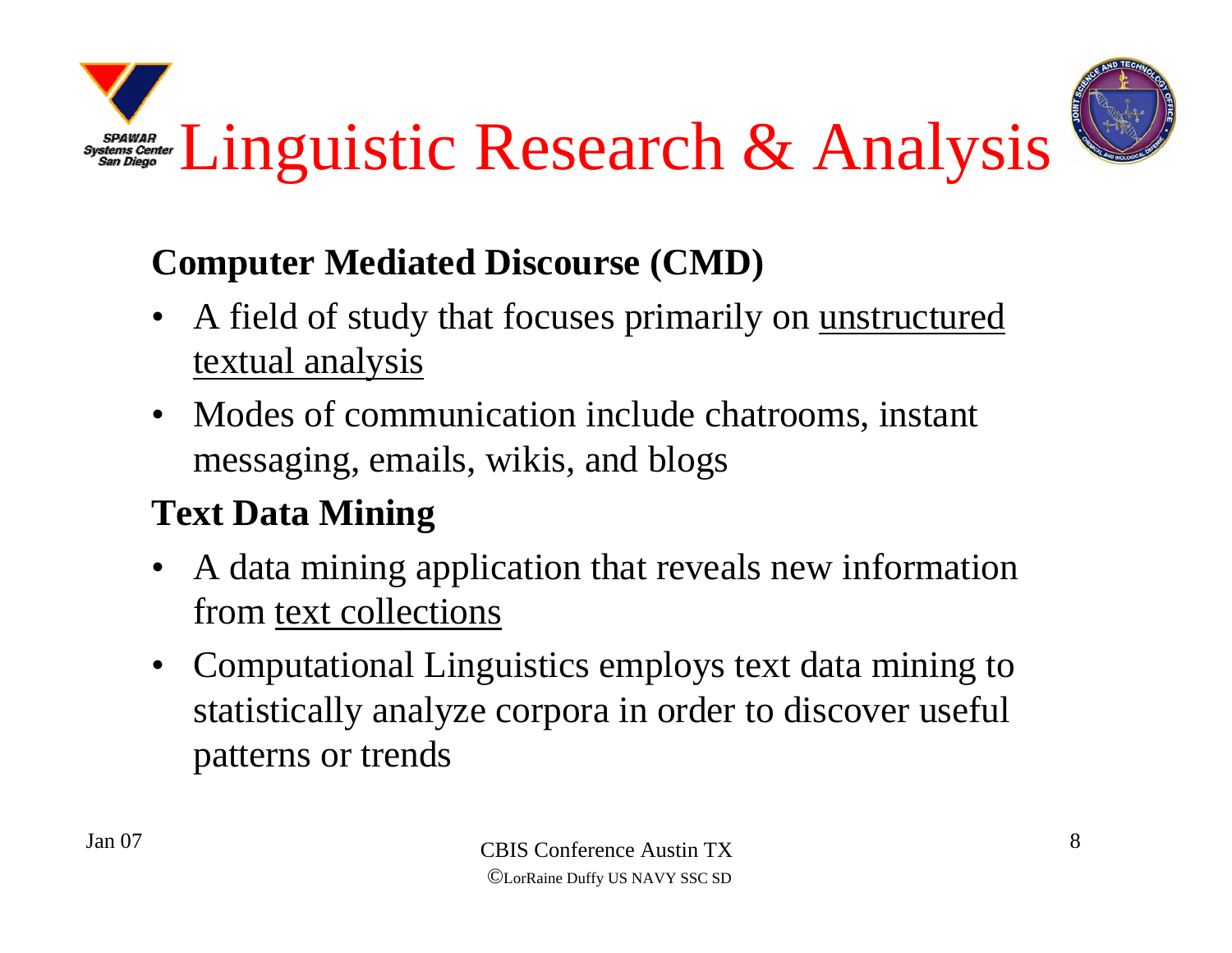



#### **Computer Mediated Discourse (CMD)**

- • A field of study that focuses primarily on unstructured textual analysis
- Modes of communication include chatrooms, instant messaging, emails, wikis, and blogs

#### **Text Data Mining**

- • A data mining application that reveals new information from text collections
- $\bullet$  Computational Linguistics employs text data mining to statistically analyze corpora in order to discover useful patterns or trends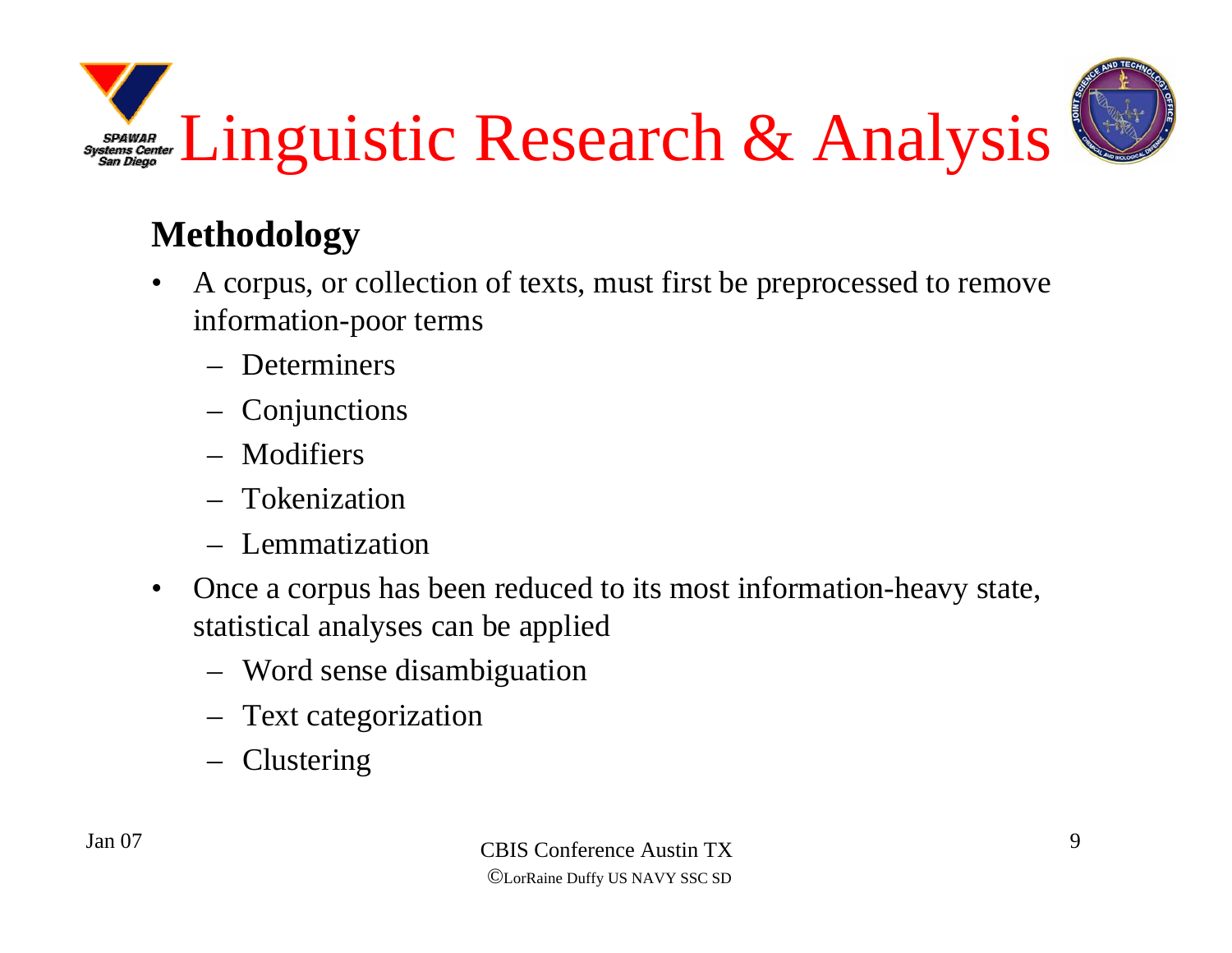

#### **Methodology**

- • A corpus, or collection of texts, must first be preprocessed to remove information-poor terms
	- Determiners
	- Conjunctions
	- Modifiers
	- Tokenization
	- Lemmatization
- $\bullet$  Once a corpus has been reduced to its most information-heavy state, statistical analyses can be applied
	- Word sense disambiguation
	- Text categorization
	- Clustering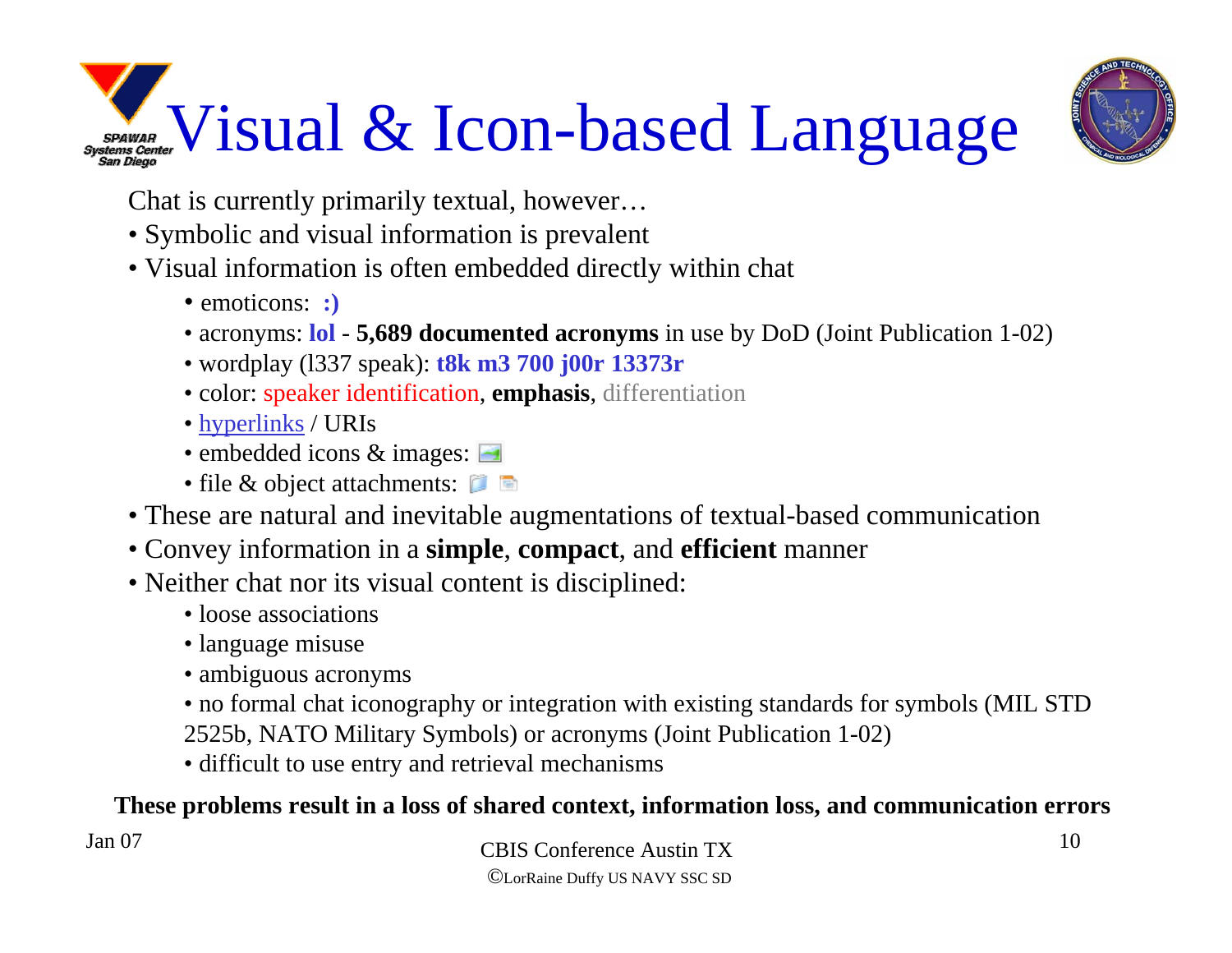## SPANJAR Visual & Icon-based Language



Chat is currently primarily textual, however…

• Symbolic and visual information is prevalent

#### • Visual information is often embedded directly within chat

- emoticons: **:)**
- acronyms: **lol 5,689 documented acronyms** in use by DoD (Joint Publication 1-02)
- wordplay (l337 speak): **t8k m3 700 j00r 13373r**
- color: speaker identification, **emphasis**, differentiation
- <u>hyperlinks</u> / URIs
- embedded icons & images:
- file & object attachments:
- These are natural and inevitable augmentations of textual-based communication
- Convey information in a **simple**, **compact**, and **efficient** manner
- Neither chat nor its visual content is disciplined:
	- loose associations
	- language misuse
	- ambiguous acronyms
	- no formal chat iconography or integration with existing standards for symbols (MIL STD
	- 2525b, NATO Military Symbols) or acronyms (Joint Publication 1-02)
	- difficult to use entry and retrieval mechanisms

#### **These problems result in a loss of shared context, information loss, and communication errors**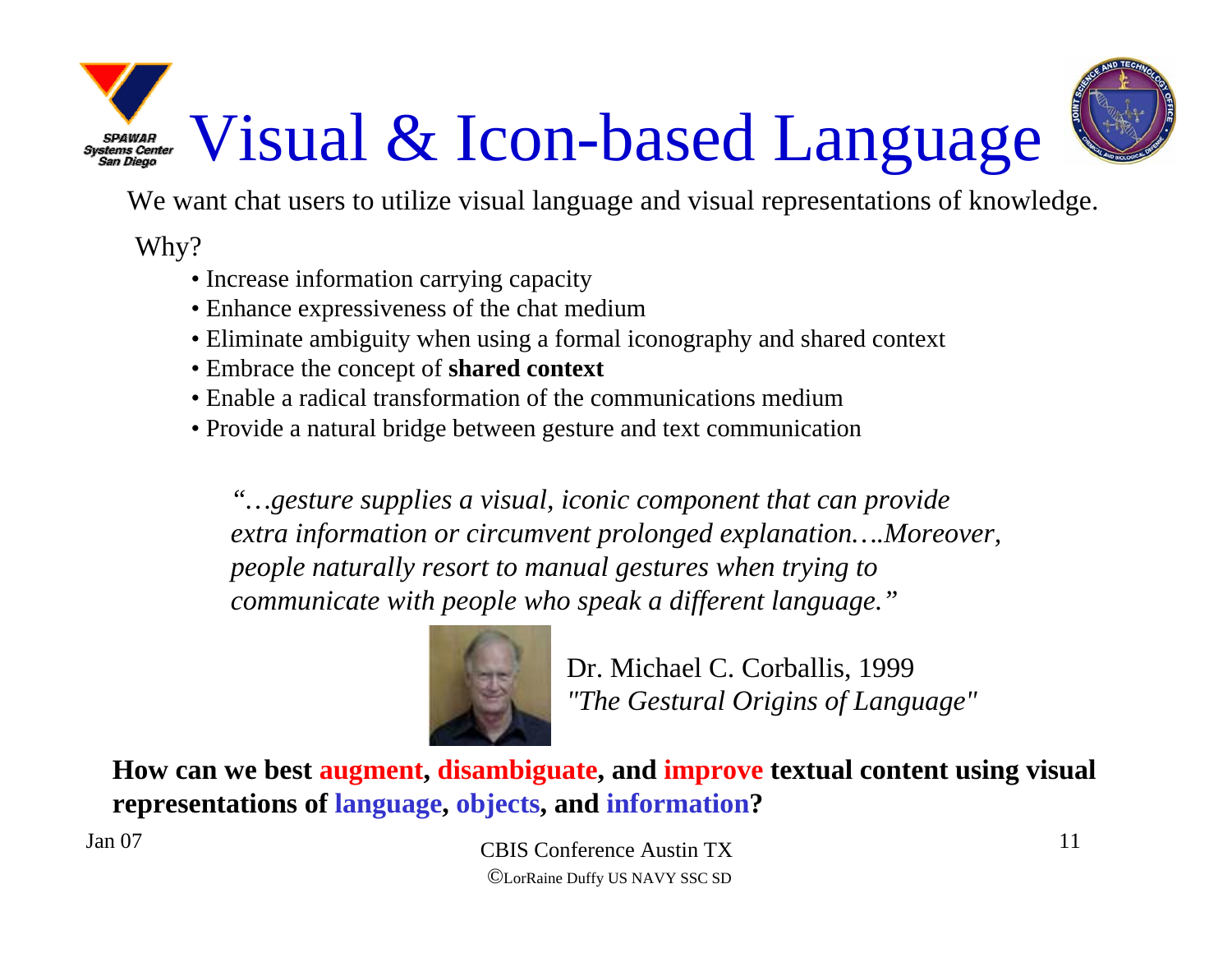# Visual & Icon-based Language



We want chat users to utilize visual language and visual representations of knowledge.

Why?

- Increase information carrying capacity
- Enhance expressiveness of the chat medium
- Eliminate ambiguity when using a formal iconography and shared context
- Embrace the concept of **shared context**
- Enable a radical transformation of the communications medium
- Provide a natural bridge between gesture and text communication

*"…gesture supplies a visual, iconic component that can provide extra information or circumvent prolonged explanation….Moreover, people naturally resort to manual gestures when trying to communicate with people who speak a different language."*



Dr. Michael C. Corballis, 1999 *"The Gestural Origins of Language"*

**How can we best augment, disambiguate, and improve textual content using visual representations of language, objects, and information?**

Jan 07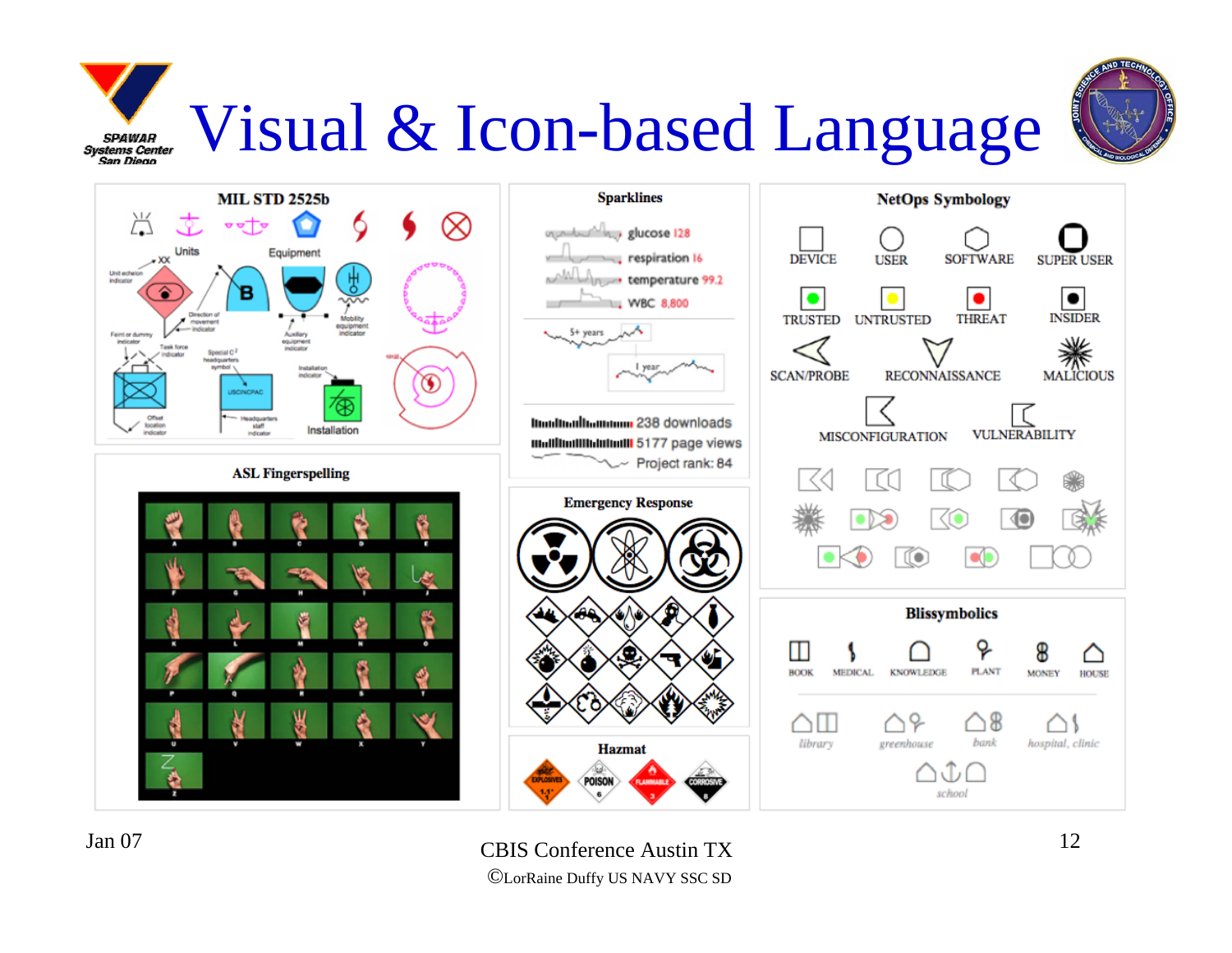### Visual & Icon-based LanguageSPAWAR<br>Systems Center<br>San Diego



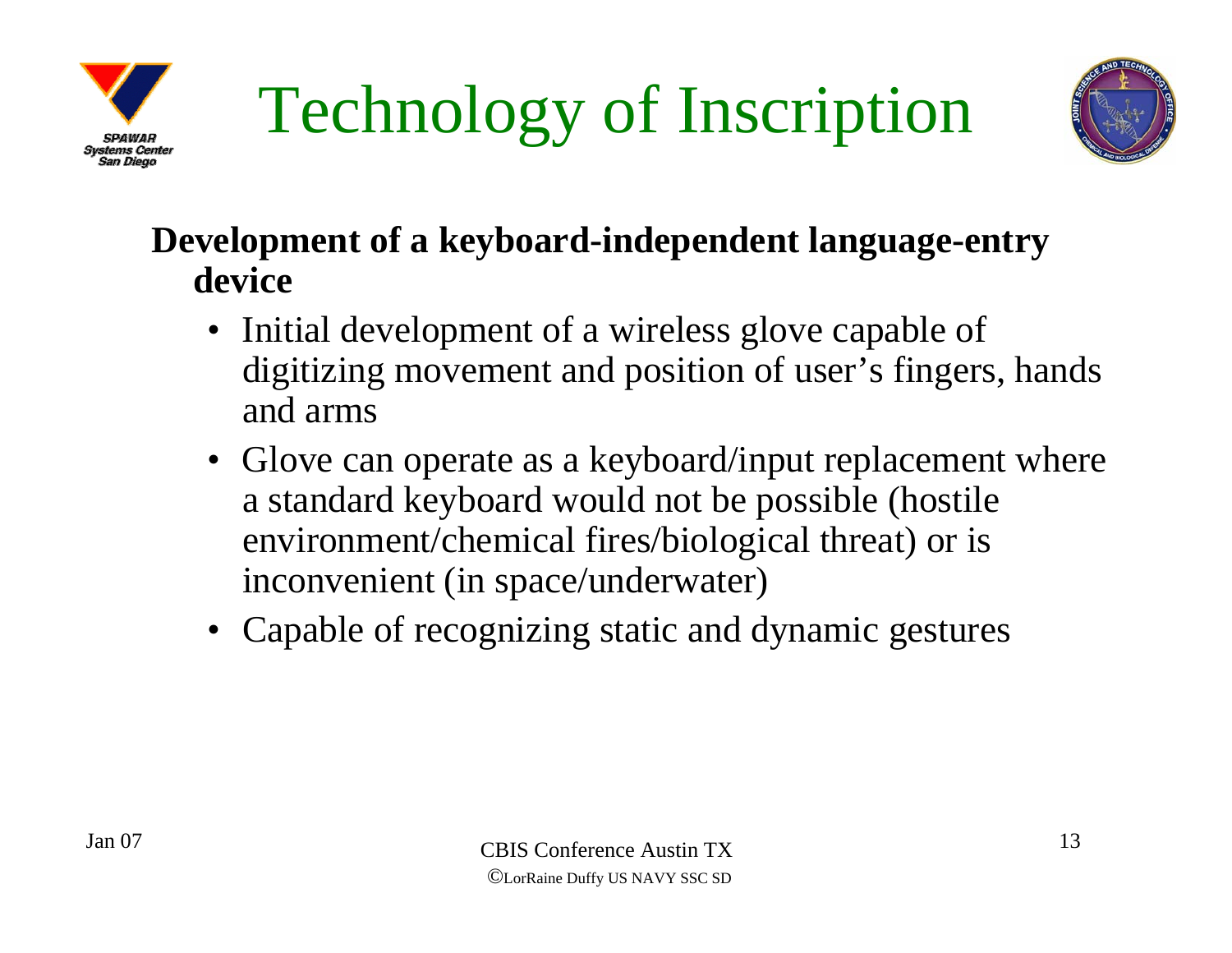



#### **Development of a keyboard-independent language-entry device**

- Initial development of a wireless glove capable of digitizing movement and position of user's fingers, hands and arms
- Glove can operate as a keyboard/input replacement where a standard keyboard would not be possible (hostile environment/chemical fires/biological threat) or is inconvenient (in space/underwater)
- Capable of recognizing static and dynamic gestures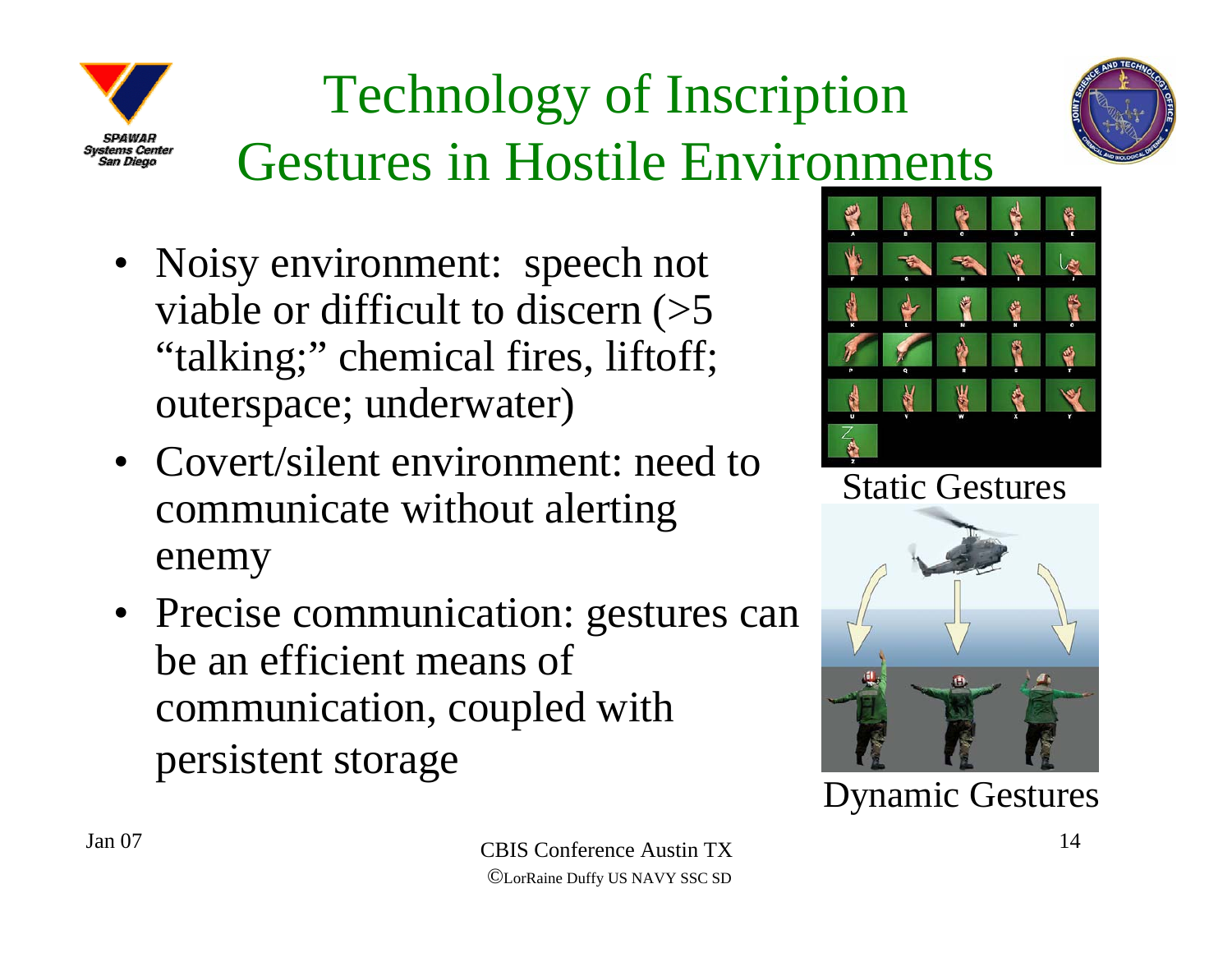

### Technology of Inscription Gestures in Hostile Environments



- Covert/silent environment: need to communicate without alerting enemy
- Precise communication: gestures can be an efficient means of communication, coupled with persistent storage



Static Gestures



Dynamic Gestures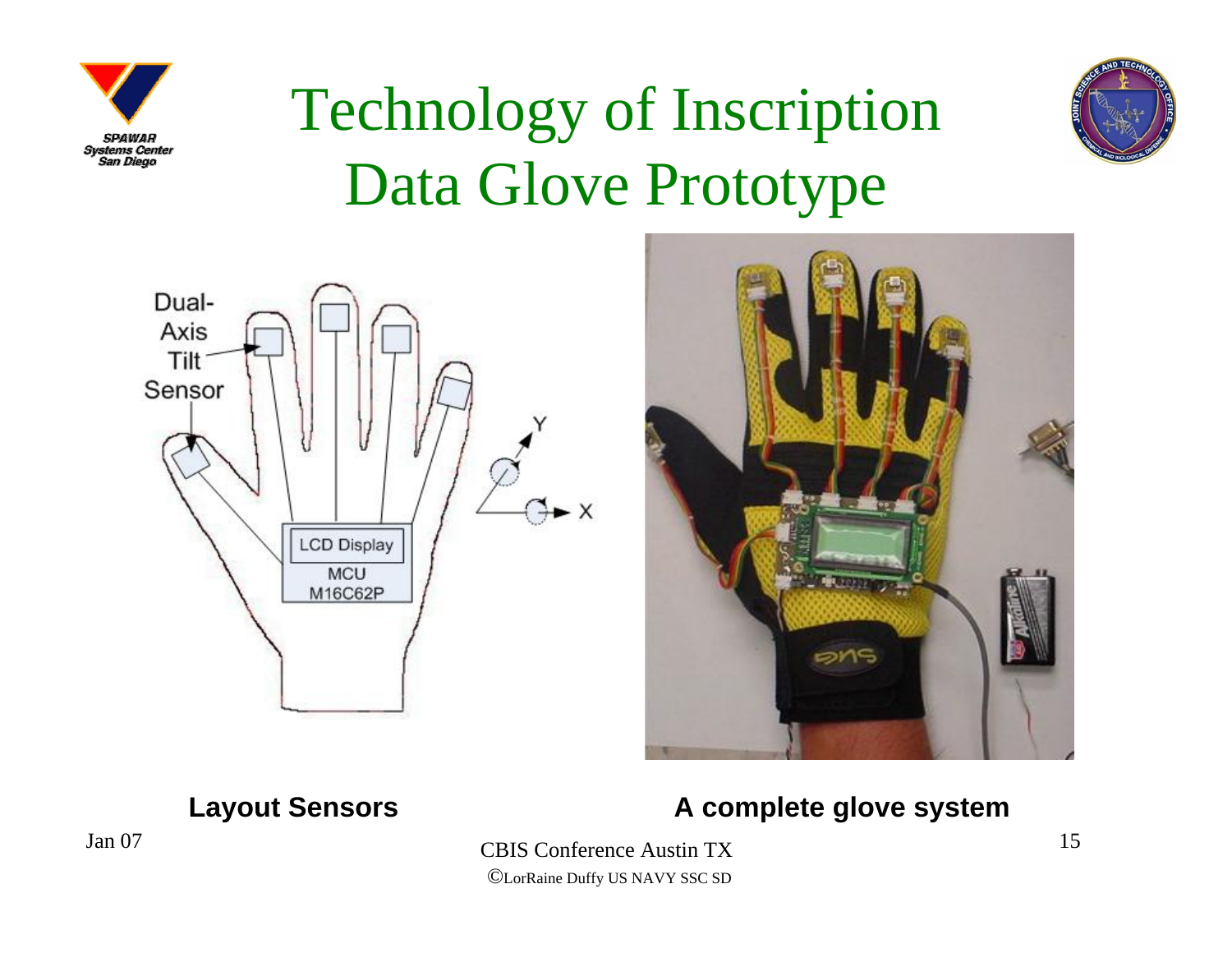

### Technology of Inscription Data Glove Prototype







#### **Layout Sensors A complete glove system**

 CBIS Conference Austin TX©LorRaine Duffy US NAVY SSC SD

Jan 07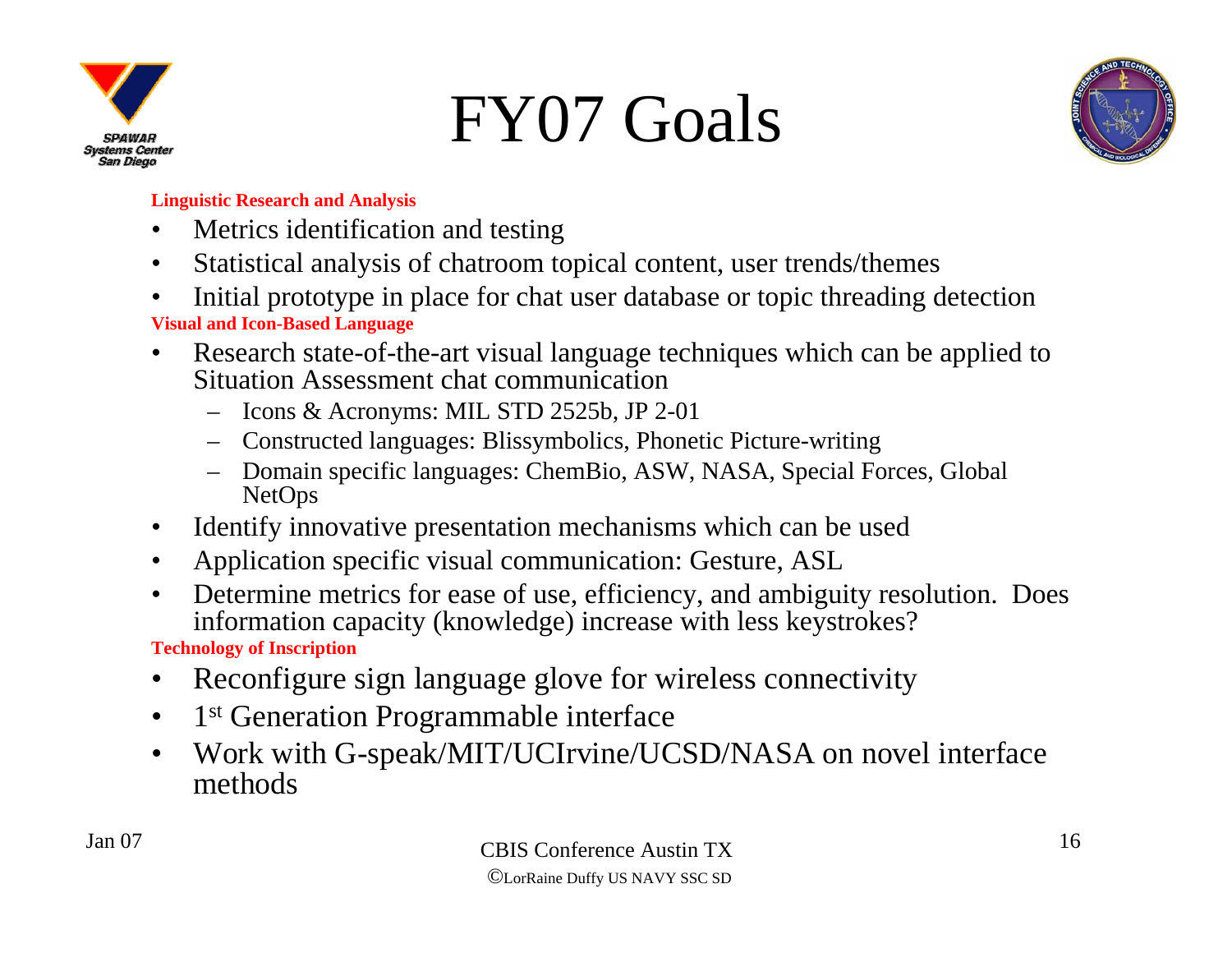

### FY07 Goals



#### **Linguistic Research and Analysis**

- $\bullet$ Metrics identification and testing
- $\bullet$ Statistical analysis of chatroom topical content, user trends/themes
- • Initial prototype in place for chat user database or topic threading detection **Visual and Icon-Based Language**
- $\bullet$  Research state-of-the-art visual language techniques which can be applied to Situation Assessment chat communication
	- Icons & Acronyms: MIL STD 2525b, JP 2-01
	- Constructed languages: Blissymbolics, Phonetic Picture-writing
	- Domain specific languages: ChemBio, ASW, NASA, Special Forces, Global NetOps
- $\bullet$ Identify innovative presentation mechanisms which can be used
- $\bullet$ Application specific visual communication: Gesture, ASL
- $\bullet$  Determine metrics for ease of use, efficiency, and ambiguity resolution. Does information capacity (knowledge) increase with less keystrokes?

**Technology of Inscription**

- •Reconfigure sign language glove for wireless connectivity
- $\bullet$ 1<sup>st</sup> Generation Programmable interface
- $\bullet$  Work with G-speak/MIT/UCIrvine/UCSD/NASA on novel interface methods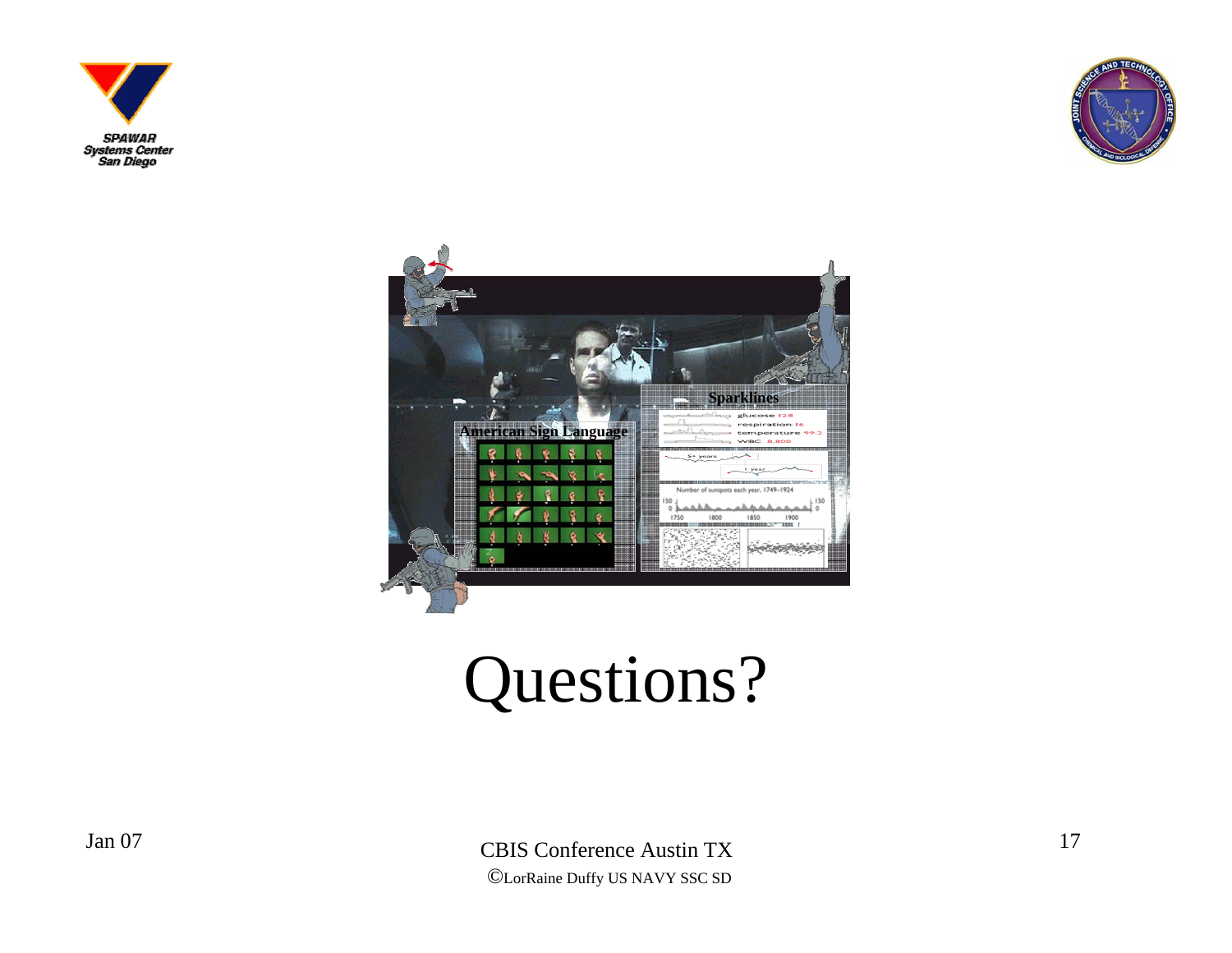





### Questions?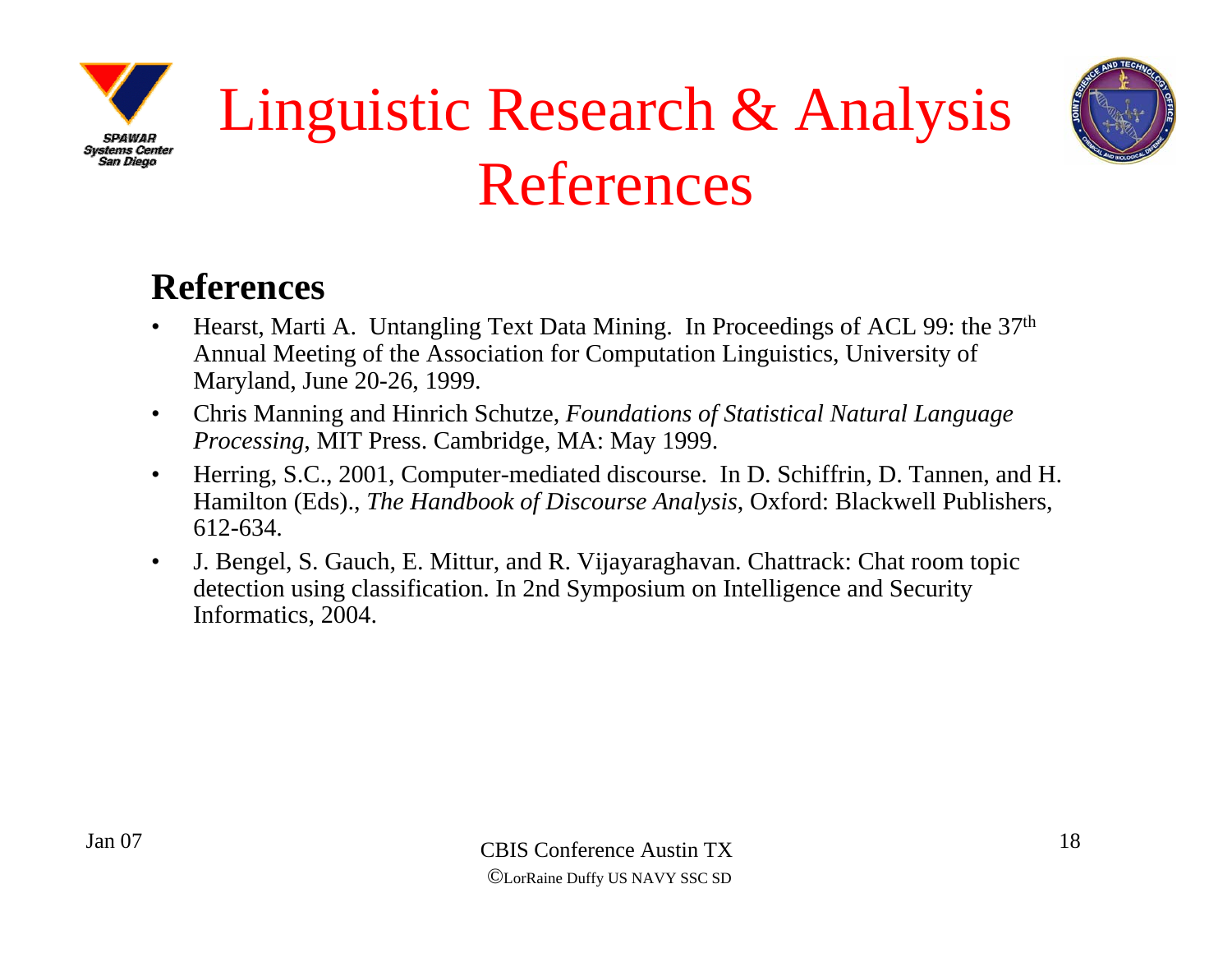



### Linguistic Research & Analysis References

#### **References**

- • Hearst, Marti A. Untangling Text Data Mining. In Proceedings of ACL 99: the 37th Annual Meeting of the Association for Computation Linguistics, University of Maryland, June 20-26, 1999.
- • Chris Manning and Hinrich Schutze, *Foundations of Statistical Natural Language Processing*, MIT Press. Cambridge, MA: May 1999.
- $\bullet$  Herring, S.C., 2001, Computer-mediated discourse. In D. Schiffrin, D. Tannen, and H. Hamilton (Eds)., *The Handbook of Discourse Analysis*, Oxford: Blackwell Publishers, 612-634.
- • J. Bengel, S. Gauch, E. Mittur, and R. Vijayaraghavan. Chattrack: Chat room topic detection using classification. In 2nd Symposium on Intelligence and Security Informatics, 2004.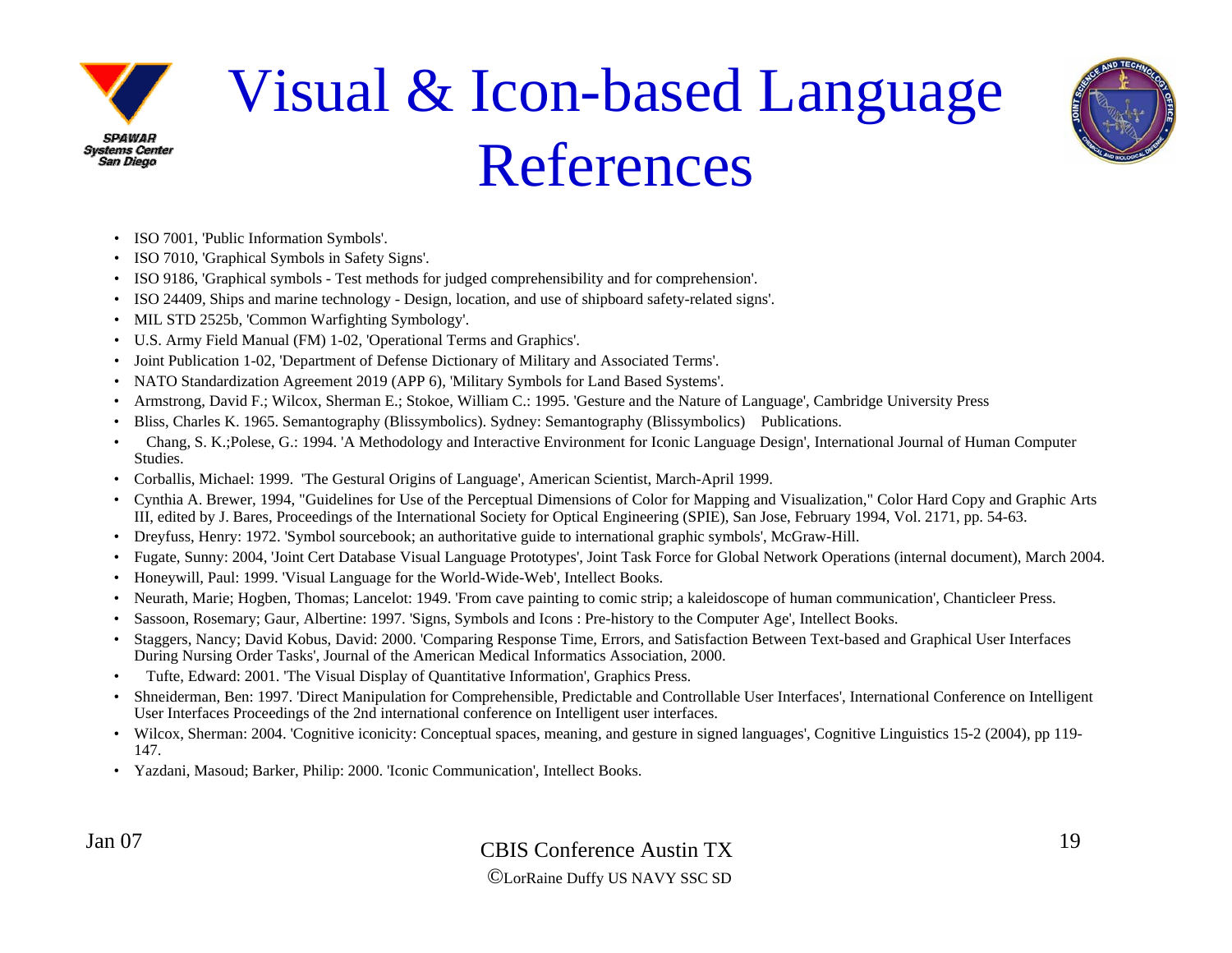

### Visual & Icon-based Language References



- ISO 7001, 'Public Information Symbols'.
- ISO 7010, 'Graphical Symbols in Safety Signs'.
- ISO 9186, 'Graphical symbols Test methods for judged comprehensibility and for comprehension'.
- ISO 24409, Ships and marine technology Design, location, and use of shipboard safety-related signs'.
- •MIL STD 2525b, 'Common Warfighting Symbology'.
- U.S. Army Field Manual (FM) 1-02, 'Operational Terms and Graphics'.
- •Joint Publication 1-02, 'Department of Defense Dictionary of Military and Associated Terms'.
- •NATO Standardization Agreement 2019 (APP 6), 'Military Symbols for Land Based Systems'.
- •Armstrong, David F.; Wilcox, Sherman E.; Stokoe, William C.: 1995. 'Gesture and the Nature of Language', Cambridge University Press
- •Bliss, Charles K. 1965. Semantography (Blissymbolics). Sydney: Semantography (Blissymbolics) Publications.
- • Chang, S. K.;Polese, G.: 1994. 'A Methodology and Interactive Environment for Iconic Language Design', International Journal of Human Computer Studies.
- Corballis, Michael: 1999. 'The Gestural Origins of Language', American Scientist, March-April 1999.
- Cynthia A. Brewer, 1994, "Guidelines for Use of the Perceptual Dimensions of Color for Mapping and Visualization," Color Hard Copy and Graphic Arts III, edited by J. Bares, Proceedings of the International Society for Optical Engineering (SPIE), San Jose, February 1994, Vol. 2171, pp. 54-63.
- Dreyfuss, Henry: 1972. 'Symbol sourcebook; an authoritative guide to international graphic symbols', McGraw-Hill.
- •Fugate, Sunny: 2004, 'Joint Cert Database Visual Language Prototypes', Joint Task Force for Global Network Operations (internal document), March 2004.
- Honeywill, Paul: 1999. 'Visual Language for the World-Wide-Web', Intellect Books.
- •Neurath, Marie; Hogben, Thomas; Lancelot: 1949. 'From cave painting to comic strip; a kaleidoscope of human communication', Chanticleer Press.
- •Sassoon, Rosemary; Gaur, Albertine: 1997. 'Signs, Symbols and Icons : Pre-history to the Computer Age', Intellect Books.
- • Staggers, Nancy; David Kobus, David: 2000. 'Comparing Response Time, Errors, and Satisfaction Between Text-based and Graphical User Interfaces During Nursing Order Tasks', Journal of the American Medical Informatics Association, 2000.
- •Tufte, Edward: 2001. 'The Visual Display of Quantitative Information', Graphics Press.
- • Shneiderman, Ben: 1997. 'Direct Manipulation for Comprehensible, Predictable and Controllable User Interfaces', International Conference on Intelligent User Interfaces Proceedings of the 2nd international conference on Intelligent user interfaces.
- Wilcox, Sherman: 2004. 'Cognitive iconicity: Conceptual spaces, meaning, and gesture in signed languages', Cognitive Linguistics 15-2 (2004), pp 119-147.
- Yazdani, Masoud; Barker, Philip: 2000. 'Iconic Communication', Intellect Books.